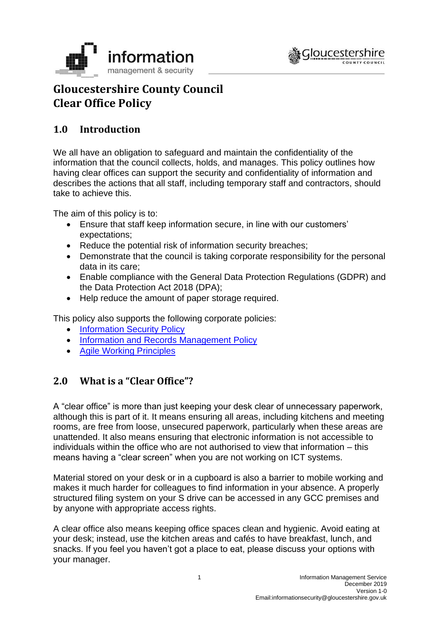



# **Gloucestershire County Council Clear Office Policy**

# **1.0 Introduction**

We all have an obligation to safeguard and maintain the confidentiality of the information that the council collects, holds, and manages. This policy outlines how having clear offices can support the security and confidentiality of information and describes the actions that all staff, including temporary staff and contractors, should take to achieve this.

The aim of this policy is to:

- Ensure that staff keep information secure, in line with our customers' expectations;
- Reduce the potential risk of information security breaches;
- Demonstrate that the council is taking corporate responsibility for the personal data in its care;
- Enable compliance with the General Data Protection Regulations (GDPR) and the Data Protection Act 2018 (DPA);
- Help reduce the amount of paper storage required.

This policy also supports the following corporate policies:

- [Information Security Policy](https://www.gloucestershire.gov.uk/media/2103613/information-security-policy-v43.pdf)
- [Information and Records Management Policy](https://www.gloucestershire.gov.uk/media/2091068/information-and-records-management-policy-v50.pdf)
- [Agile Working Principles](https://staffnet.gloucestershire.gov.uk/employee-information-and-support/organisational-change/digital-first/worksmarter-agile/how-can-i-worksmarter/agile-working/agile-working/summary/#main)

## **2.0 What is a "Clear Office"?**

A "clear office" is more than just keeping your desk clear of unnecessary paperwork, although this is part of it. It means ensuring all areas, including kitchens and meeting rooms, are free from loose, unsecured paperwork, particularly when these areas are unattended. It also means ensuring that electronic information is not accessible to individuals within the office who are not authorised to view that information – this means having a "clear screen" when you are not working on ICT systems.

Material stored on your desk or in a cupboard is also a barrier to mobile working and makes it much harder for colleagues to find information in your absence. A properly structured filing system on your S drive can be accessed in any GCC premises and by anyone with appropriate access rights.

A clear office also means keeping office spaces clean and hygienic. Avoid eating at your desk; instead, use the kitchen areas and cafés to have breakfast, lunch, and snacks. If you feel you haven't got a place to eat, please discuss your options with your manager.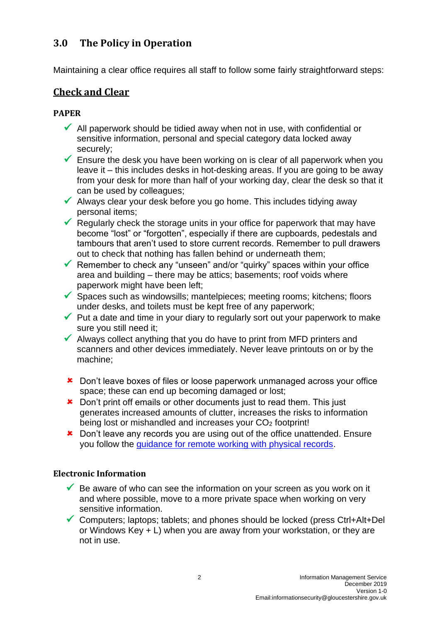# **3.0 The Policy in Operation**

Maintaining a clear office requires all staff to follow some fairly straightforward steps:

# **Check and Clear**

#### **PAPER**

- $\checkmark$  All paperwork should be tidied away when not in use, with confidential or sensitive information, personal and special category data locked away securely;
- $\checkmark$  Ensure the desk you have been working on is clear of all paperwork when you leave it – this includes desks in hot-desking areas. If you are going to be away from your desk for more than half of your working day, clear the desk so that it can be used by colleagues;
- $\checkmark$  Always clear your desk before you go home. This includes tidying away personal items;
- $\checkmark$  Regularly check the storage units in your office for paperwork that may have become "lost" or "forgotten", especially if there are cupboards, pedestals and tambours that aren't used to store current records. Remember to pull drawers out to check that nothing has fallen behind or underneath them;
- $\checkmark$  Remember to check any "unseen" and/or "quirky" spaces within your office area and building – there may be attics; basements; roof voids where paperwork might have been left;
- $\checkmark$  Spaces such as windowsills; mantelpieces; meeting rooms; kitchens; floors under desks, and toilets must be kept free of any paperwork;
- $\checkmark$  Put a date and time in your diary to regularly sort out your paperwork to make sure you still need it;
- $\checkmark$  Always collect anything that you do have to print from MFD printers and scanners and other devices immediately. Never leave printouts on or by the machine;
- Don't leave boxes of files or loose paperwork unmanaged across your office space; these can end up becoming damaged or lost;
- **\*** Don't print off emails or other documents just to read them. This just generates increased amounts of clutter, increases the risks to information being lost or mishandled and increases your CO<sub>2</sub> footprint!
- **\*** Don't leave any records you are using out of the office unattended. Ensure you follow the [guidance for remote working with physical records.](https://staffnet.gloucestershire.gov.uk/internal-services/information-management-service/storing-retrieving-and-disposing-of-data/handling-and-securing-physical-records-when-out-of-the-office/)

#### **Electronic Information**

- $\checkmark$  Be aware of who can see the information on your screen as you work on it and where possible, move to a more private space when working on very sensitive information.
- ✓ Computers; laptops; tablets; and phones should be locked (press Ctrl+Alt+Del or Windows Key + L) when you are away from your workstation, or they are not in use.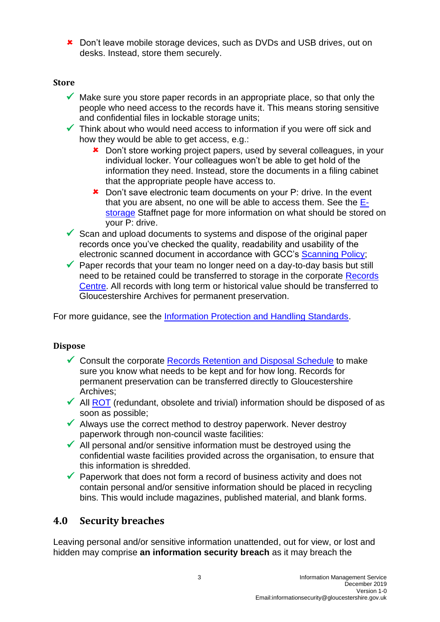**\*** Don't leave mobile storage devices, such as DVDs and USB drives, out on desks. Instead, store them securely.

#### **Store**

- $\checkmark$  Make sure you store paper records in an appropriate place, so that only the people who need access to the records have it. This means storing sensitive and confidential files in lockable storage units;
- $\checkmark$  Think about who would need access to information if you were off sick and how they would be able to get access, e.g.:
	- \* Don't store working project papers, used by several colleagues, in your individual locker. Your colleagues won't be able to get hold of the information they need. Instead, store the documents in a filing cabinet that the appropriate people have access to.
	- **\*** Don't save electronic team documents on your P: drive. In the event that you are absent, no one will be able to access them. See the [E](https://staffnet.gloucestershire.gov.uk/internal-services/information-management-service/storing-retrieving-and-disposing-of-data/electronic-records-management-e-storage/managing-your-p-and-s-drives/)[storage](https://staffnet.gloucestershire.gov.uk/internal-services/information-management-service/storing-retrieving-and-disposing-of-data/electronic-records-management-e-storage/managing-your-p-and-s-drives/) Staffnet page for more information on what should be stored on your P: drive.
- $\checkmark$  Scan and upload documents to systems and dispose of the original paper records once you've checked the quality, readability and usability of the electronic scanned document in accordance with GCC's [Scanning Policy;](https://www.gloucestershire.gov.uk/media/2092728/scanning-policy-v2-0.pdf)
- $\checkmark$  Paper records that your team no longer need on a day-to-day basis but still need to be retained could be transferred to storage in the corporate Records [Centre.](https://staffnet.gloucestershire.gov.uk/internal-services/information-management-service/records-centre/) All records with long term or historical value should be transferred to Gloucestershire Archives for permanent preservation.

For more guidance, see the [Information Protection and Handling Standards.](https://www.gloucestershire.gov.uk/media/2112055/information-protection-and-handling-standards-v23.pdf)

#### **Dispose**

- ✓ Consult the corporate [Records Retention and Disposal Schedule](https://www.gloucestershire.gov.uk/media/2103618/2020-retention-schedule-v34.pdf) to make sure you know what needs to be kept and for how long. Records for permanent preservation can be transferred directly to Gloucestershire Archives;
- $\checkmark$  All [ROT](https://staffnet.gloucestershire.gov.uk/internal-services/information-management-service/storing-retrieving-and-disposing-of-data/electronic-records-management-e-storage/electronic-records-management-e-storage/deleting-rot-redundant-obsolete-and-trivial-information/#main) (redundant, obsolete and trivial) information should be disposed of as soon as possible;
- $\checkmark$  Always use the correct method to destroy paperwork. Never destroy paperwork through non-council waste facilities:
- $\checkmark$  All personal and/or sensitive information must be destroyed using the confidential waste facilities provided across the organisation, to ensure that this information is shredded.
- $\checkmark$  Paperwork that does not form a record of business activity and does not contain personal and/or sensitive information should be placed in recycling bins. This would include magazines, published material, and blank forms.

## **4.0 Security breaches**

Leaving personal and/or sensitive information unattended, out for view, or lost and hidden may comprise **an information security breach** as it may breach the